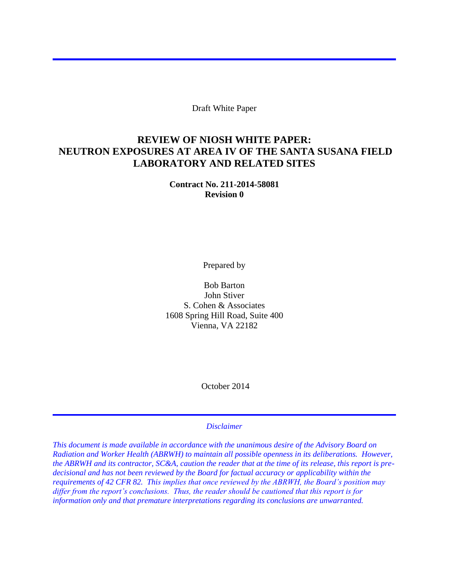Draft White Paper

### **REVIEW OF NIOSH WHITE PAPER: NEUTRON EXPOSURES AT AREA IV OF THE SANTA SUSANA FIELD LABORATORY AND RELATED SITES**

**Contract No. 211-2014-58081 Revision 0** 

Prepared by

Bob Barton John Stiver S. Cohen & Associates 1608 Spring Hill Road, Suite 400 Vienna, VA 22182

October 2014

#### *Disclaimer*

*This document is made available in accordance with the unanimous desire of the Advisory Board on Radiation and Worker Health (ABRWH) to maintain all possible openness in its deliberations. However, the ABRWH and its contractor, SC&A, caution the reader that at the time of its release, this report is predecisional and has not been reviewed by the Board for factual accuracy or applicability within the requirements of 42 CFR 82. This implies that once reviewed by the ABRWH, the Board's position may differ from the report's conclusions. Thus, the reader should be cautioned that this report is for information only and that premature interpretations regarding its conclusions are unwarranted.*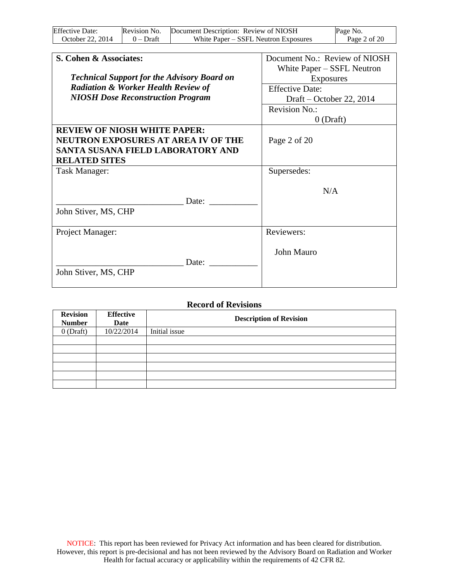| <b>Effective Date:</b> | Revision No. | Document Description: Review of NIOSH | Page No.     |  |
|------------------------|--------------|---------------------------------------|--------------|--|
| October 22, 2014       | $0$ – Draft  | White Paper – SSFL Neutron Exposures  | Page 2 of 20 |  |

| S. Cohen & Associates:                             | Document No.: Review of NIOSH |  |
|----------------------------------------------------|-------------------------------|--|
|                                                    | White Paper – SSFL Neutron    |  |
| <b>Technical Support for the Advisory Board on</b> | Exposures                     |  |
| <b>Radiation &amp; Worker Health Review of</b>     | <b>Effective Date:</b>        |  |
| <b>NIOSH Dose Reconstruction Program</b>           | Draft – October 22, 2014      |  |
|                                                    | Revision No.:                 |  |
|                                                    | $0$ (Draft)                   |  |
| <b>REVIEW OF NIOSH WHITE PAPER:</b>                |                               |  |
| <b>NEUTRON EXPOSURES AT AREA IV OF THE</b>         | Page 2 of 20                  |  |
| SANTA SUSANA FIELD LABORATORY AND                  |                               |  |
| <b>RELATED SITES</b>                               |                               |  |
| Task Manager:                                      | Supersedes:                   |  |
|                                                    |                               |  |
|                                                    | N/A                           |  |
| Date:                                              |                               |  |
| John Stiver, MS, CHP                               |                               |  |
|                                                    |                               |  |
| Project Manager:                                   | Reviewers:                    |  |
|                                                    |                               |  |
|                                                    | John Mauro                    |  |
| Date:                                              |                               |  |
| John Stiver, MS, CHP                               |                               |  |
|                                                    |                               |  |

#### **Record of Revisions**

| <b>Revision</b><br><b>Number</b> | <b>Effective</b><br>Date | <b>Description of Revision</b> |  |  |
|----------------------------------|--------------------------|--------------------------------|--|--|
| $0$ (Draft)                      | 10/22/2014               | Initial issue                  |  |  |
|                                  |                          |                                |  |  |
|                                  |                          |                                |  |  |
|                                  |                          |                                |  |  |
|                                  |                          |                                |  |  |
|                                  |                          |                                |  |  |
|                                  |                          |                                |  |  |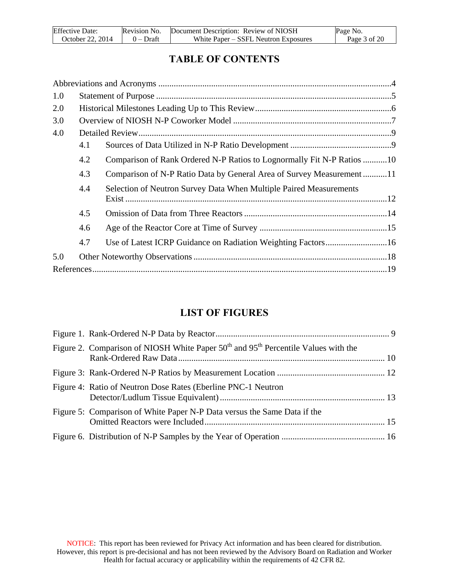| <b>Effective Date:</b> | Revision No. | Document Description: Review of NIOSH | Page No.     |
|------------------------|--------------|---------------------------------------|--------------|
| October 22, 2014       | $0$ – Draft  | White Paper – SSFL Neutron Exposures  | Page 3 of 20 |

# **TABLE OF CONTENTS**

| 1.0 |     |                                                                        |  |
|-----|-----|------------------------------------------------------------------------|--|
| 2.0 |     |                                                                        |  |
| 3.0 |     |                                                                        |  |
| 4.0 |     |                                                                        |  |
|     | 4.1 |                                                                        |  |
|     | 4.2 | Comparison of Rank Ordered N-P Ratios to Lognormally Fit N-P Ratios 10 |  |
|     | 4.3 | Comparison of N-P Ratio Data by General Area of Survey Measurement11   |  |
|     | 4.4 | Selection of Neutron Survey Data When Multiple Paired Measurements     |  |
|     | 4.5 |                                                                        |  |
|     | 4.6 |                                                                        |  |
|     | 4.7 |                                                                        |  |
| 5.0 |     |                                                                        |  |
|     |     |                                                                        |  |

## **LIST OF FIGURES**

| Figure 2. Comparison of NIOSH White Paper $50th$ and $95th$ Percentile Values with the |  |
|----------------------------------------------------------------------------------------|--|
|                                                                                        |  |
| Figure 4: Ratio of Neutron Dose Rates (Eberline PNC-1 Neutron                          |  |
| Figure 5: Comparison of White Paper N-P Data versus the Same Data if the               |  |
|                                                                                        |  |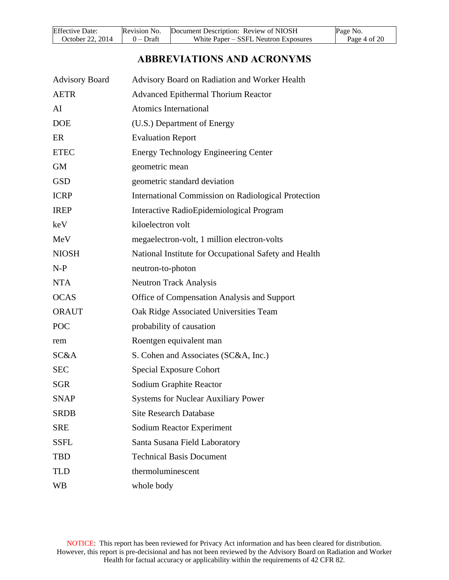| <b>Effective Date:</b> | Revision No. | Document Description: Review of NIOSH | Page No.     |
|------------------------|--------------|---------------------------------------|--------------|
| October 22, 2014       | $0$ – Draft  | White Paper – SSFL Neutron Exposures  | Page 4 of 20 |

## **ABBREVIATIONS AND ACRONYMS**

<span id="page-3-0"></span>

| <b>Advisory Board</b> | Advisory Board on Radiation and Worker Health              |
|-----------------------|------------------------------------------------------------|
| <b>AETR</b>           | <b>Advanced Epithermal Thorium Reactor</b>                 |
| AI                    | <b>Atomics International</b>                               |
| <b>DOE</b>            | (U.S.) Department of Energy                                |
| ER                    | <b>Evaluation Report</b>                                   |
| <b>ETEC</b>           | <b>Energy Technology Engineering Center</b>                |
| <b>GM</b>             | geometric mean                                             |
| <b>GSD</b>            | geometric standard deviation                               |
| <b>ICRP</b>           | <b>International Commission on Radiological Protection</b> |
| <b>IREP</b>           | Interactive RadioEpidemiological Program                   |
| keV                   | kiloelectron volt                                          |
| MeV                   | megaelectron-volt, 1 million electron-volts                |
| <b>NIOSH</b>          | National Institute for Occupational Safety and Health      |
| $N-P$                 | neutron-to-photon                                          |
| <b>NTA</b>            | <b>Neutron Track Analysis</b>                              |
| <b>OCAS</b>           | Office of Compensation Analysis and Support                |
| <b>ORAUT</b>          | Oak Ridge Associated Universities Team                     |
| <b>POC</b>            | probability of causation                                   |
| rem                   | Roentgen equivalent man                                    |
| SC&A                  | S. Cohen and Associates (SC&A, Inc.)                       |
| <b>SEC</b>            | <b>Special Exposure Cohort</b>                             |
| <b>SGR</b>            | Sodium Graphite Reactor                                    |
| <b>SNAP</b>           | <b>Systems for Nuclear Auxiliary Power</b>                 |
| <b>SRDB</b>           | <b>Site Research Database</b>                              |
| <b>SRE</b>            | <b>Sodium Reactor Experiment</b>                           |
| <b>SSFL</b>           | Santa Susana Field Laboratory                              |
| <b>TBD</b>            | <b>Technical Basis Document</b>                            |
| <b>TLD</b>            | thermoluminescent                                          |
| <b>WB</b>             | whole body                                                 |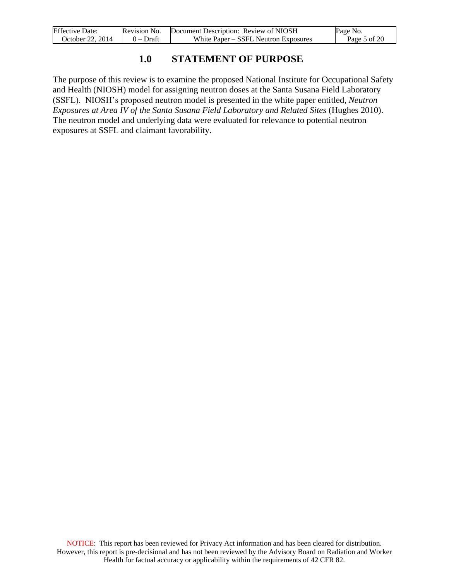| <b>Effective Date:</b> | Revision No. | Document Description: Review of NIOSH | Page No.     |
|------------------------|--------------|---------------------------------------|--------------|
| October 22, 2014       | $0$ – Draft  | White Paper – SSFL Neutron Exposures  | Page 5 of 20 |

### **1.0 STATEMENT OF PURPOSE**

<span id="page-4-0"></span>The purpose of this review is to examine the proposed National Institute for Occupational Safety and Health (NIOSH) model for assigning neutron doses at the Santa Susana Field Laboratory (SSFL). NIOSH's proposed neutron model is presented in the white paper entitled, *Neutron Exposures at Area IV of the Santa Susana Field Laboratory and Related Sites (Hughes 2010).* The neutron model and underlying data were evaluated for relevance to potential neutron exposures at SSFL and claimant favorability.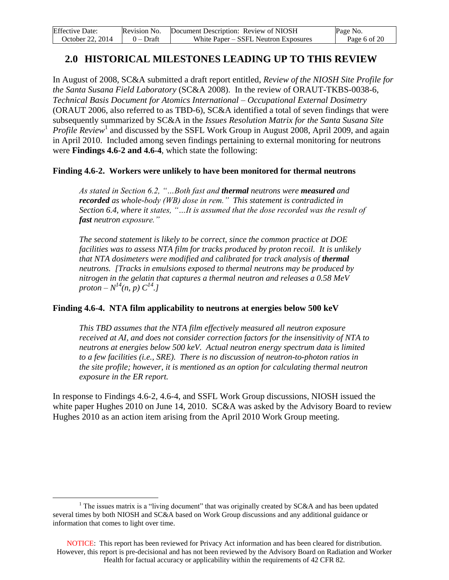| <b>Effective Date:</b> | Revision No. | Document Description: Review of NIOSH | Page No.     |
|------------------------|--------------|---------------------------------------|--------------|
| October 22, 2014       | $0$ – Draft  | White Paper – SSFL Neutron Exposures  | Page 6 of 20 |

### <span id="page-5-0"></span>**2.0 HISTORICAL MILESTONES LEADING UP TO THIS REVIEW**

In August of 2008, SC&A submitted a draft report entitled, *Review of the NIOSH Site Profile for the Santa Susana Field Laboratory* (SC&A 2008). In the review of ORAUT-TKBS-0038-6, *Technical Basis Document for Atomics International – Occupational External Dosimetry*  (ORAUT 2006, also referred to as TBD-6), SC&A identified a total of seven findings that were subsequently summarized by SC&A in the *Issues Resolution Matrix for the Santa Susana Site*  Profile Review<sup>1</sup> and discussed by the SSFL Work Group in August 2008, April 2009, and again in April 2010. Included among seven findings pertaining to external monitoring for neutrons were **Findings 4.6-2 and 4.6-4**, which state the following:

#### **Finding 4.6-2. Workers were unlikely to have been monitored for thermal neutrons**

*As stated in Section 6.2, "…Both fast and thermal neutrons were measured and recorded as whole-body (WB) dose in rem." This statement is contradicted in Section 6.4, where it states, "…It is assumed that the dose recorded was the result of fast neutron exposure."*

*The second statement is likely to be correct, since the common practice at DOE facilities was to assess NTA film for tracks produced by proton recoil. It is unlikely that NTA dosimeters were modified and calibrated for track analysis of thermal neutrons. [Tracks in emulsions exposed to thermal neutrons may be produced by nitrogen in the gelatin that captures a thermal neutron and releases a 0.58 MeV proton* –  $N^{14}(n, p) C^{14}$ .]

#### **Finding 4.6-4. NTA film applicability to neutrons at energies below 500 keV**

*This TBD assumes that the NTA film effectively measured all neutron exposure received at AI, and does not consider correction factors for the insensitivity of NTA to neutrons at energies below 500 keV. Actual neutron energy spectrum data is limited to a few facilities (i.e., SRE). There is no discussion of neutron-to-photon ratios in the site profile; however, it is mentioned as an option for calculating thermal neutron exposure in the ER report.*

In response to Findings 4.6-2, 4.6-4, and SSFL Work Group discussions, NIOSH issued the white paper Hughes 2010 on June 14, 2010. SC&A was asked by the Advisory Board to review Hughes 2010 as an action item arising from the April 2010 Work Group meeting.

 $\overline{a}$ 

<sup>&</sup>lt;sup>1</sup> The issues matrix is a "living document" that was originally created by  $SC&A$  and has been updated several times by both NIOSH and SC&A based on Work Group discussions and any additional guidance or information that comes to light over time.

NOTICE: This report has been reviewed for Privacy Act information and has been cleared for distribution. However, this report is pre-decisional and has not been reviewed by the Advisory Board on Radiation and Worker Health for factual accuracy or applicability within the requirements of 42 CFR 82.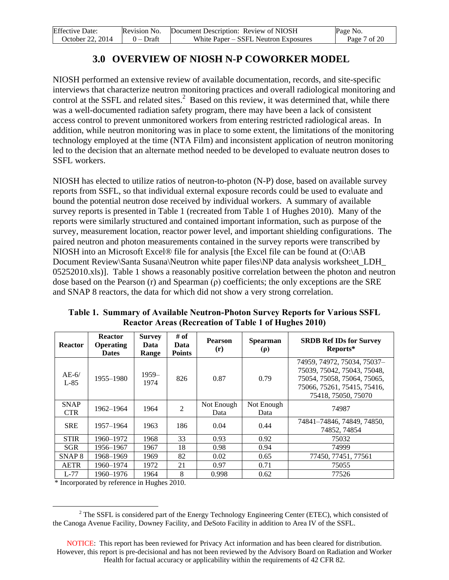| <b>Effective Date:</b> | Revision No. | Document Description: Review of NIOSH | Page No.     |
|------------------------|--------------|---------------------------------------|--------------|
| October 22, 2014       | $0$ – Draft  | White Paper – SSFL Neutron Exposures  | Page 7 of 20 |

## **3.0 OVERVIEW OF NIOSH N-P COWORKER MODEL**

<span id="page-6-0"></span>NIOSH performed an extensive review of available documentation, records, and site-specific interviews that characterize neutron monitoring practices and overall radiological monitoring and control at the SSFL and related sites. $^2$  Based on this review, it was determined that, while there was a well-documented radiation safety program, there may have been a lack of consistent access control to prevent unmonitored workers from entering restricted radiological areas. In addition, while neutron monitoring was in place to some extent, the limitations of the monitoring technology employed at the time (NTA Film) and inconsistent application of neutron monitoring led to the decision that an alternate method needed to be developed to evaluate neutron doses to SSFL workers.

NIOSH has elected to utilize ratios of neutron-to-photon (N-P) dose, based on available survey reports from SSFL, so that individual external exposure records could be used to evaluate and bound the potential neutron dose received by individual workers. A summary of available survey reports is presented in Table 1 (recreated from Table 1 of Hughes 2010). Many of the reports were similarly structured and contained important information, such as purpose of the survey, measurement location, reactor power level, and important shielding configurations. The paired neutron and photon measurements contained in the survey reports were transcribed by NIOSH into an Microsoft Excel® file for analysis [the Excel file can be found at (O:\AB Document Review\Santa Susana\Neutron white paper files\NP data analysis worksheet LDH 05252010.xls)]. Table 1 shows a reasonably positive correlation between the photon and neutron dose based on the Pearson (r) and Spearman (ρ) coefficients; the only exceptions are the SRE and SNAP 8 reactors, the data for which did not show a very strong correlation.

| <b>Reactor</b>            | <b>Reactor</b><br><b>Operating</b><br><b>Dates</b> | <b>Survey</b><br>Data<br>Range | # of<br>Data<br><b>Points</b> | <b>Pearson</b><br>(r) | <b>Spearman</b><br>$(\rho)$ | <b>SRDB Ref IDs for Survey</b><br>Reports*                                                                                                      |
|---------------------------|----------------------------------------------------|--------------------------------|-------------------------------|-----------------------|-----------------------------|-------------------------------------------------------------------------------------------------------------------------------------------------|
| $AE-6/$<br>$L-85$         | 1955-1980                                          | $1959-$<br>1974                | 826                           | 0.87                  | 0.79                        | 74959, 74972, 75034, 75037-<br>75039, 75042, 75043, 75048,<br>75054, 75058, 75064, 75065,<br>75066, 75261, 75415, 75416,<br>75418, 75050, 75070 |
| <b>SNAP</b><br><b>CTR</b> | 1962-1964                                          | 1964                           | $\overline{2}$                | Not Enough<br>Data    | Not Enough<br>Data          | 74987                                                                                                                                           |
| <b>SRE</b>                | 1957-1964                                          | 1963                           | 186                           | 0.04                  | 0.44                        | 74841-74846, 74849, 74850,<br>74852, 74854                                                                                                      |
| <b>STIR</b>               | 1960-1972                                          | 1968                           | 33                            | 0.93                  | 0.92                        | 75032                                                                                                                                           |
| <b>SGR</b>                | 1956-1967                                          | 1967                           | 18                            | 0.98                  | 0.94                        | 74999                                                                                                                                           |
| SNAP <sub>8</sub>         | 1968-1969                                          | 1969                           | 82                            | 0.02                  | 0.65                        | 77450, 77451, 77561                                                                                                                             |
| <b>AETR</b>               | 1960-1974                                          | 1972                           | 21                            | 0.97                  | 0.71                        | 75055                                                                                                                                           |
| $L-77$                    | 1960–1976                                          | 1964                           | 8                             | 0.998                 | 0.62                        | 77526                                                                                                                                           |

**Table 1. Summary of Available Neutron-Photon Survey Reports for Various SSFL Reactor Areas (Recreation of Table 1 of Hughes 2010)** 

\* Incorporated by reference in Hughes 2010.

 $\overline{a}$  $2^2$  The SSFL is considered part of the Energy Technology Engineering Center (ETEC), which consisted of the Canoga Avenue Facility, Downey Facility, and DeSoto Facility in addition to Area IV of the SSFL.

NOTICE: This report has been reviewed for Privacy Act information and has been cleared for distribution. However, this report is pre-decisional and has not been reviewed by the Advisory Board on Radiation and Worker Health for factual accuracy or applicability within the requirements of 42 CFR 82.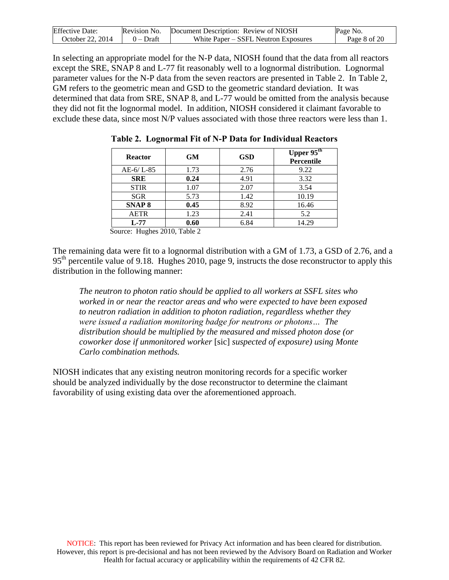| <b>Effective Date:</b> | Revision No. | Document Description: Review of NIOSH | Page No.     |
|------------------------|--------------|---------------------------------------|--------------|
| October 22. 2014       | $0$ – Draft  | White Paper – SSFL Neutron Exposures  | Page 8 of 20 |

In selecting an appropriate model for the N-P data, NIOSH found that the data from all reactors except the SRE, SNAP 8 and L-77 fit reasonably well to a lognormal distribution. Lognormal parameter values for the N-P data from the seven reactors are presented in Table 2. In Table 2, GM refers to the geometric mean and GSD to the geometric standard deviation. It was determined that data from SRE, SNAP 8, and L-77 would be omitted from the analysis because they did not fit the lognormal model. In addition, NIOSH considered it claimant favorable to exclude these data, since most N/P values associated with those three reactors were less than 1.

| <b>Reactor</b>    | <b>GM</b> | <b>GSD</b> | Upper $95^{\text{th}}$<br>Percentile |
|-------------------|-----------|------------|--------------------------------------|
| $AE-6/L-85$       | 1.73      | 2.76       | 9.22                                 |
| <b>SRE</b>        | 0.24      | 4.91       | 3.32                                 |
| <b>STIR</b>       | 1.07      | 2.07       | 3.54                                 |
| <b>SGR</b>        | 5.73      | 1.42       | 10.19                                |
| SNAP <sub>8</sub> | 0.45      | 8.92       | 16.46                                |
| <b>AETR</b>       | 1.23      | 2.41       | 5.2                                  |
| $L-77$            | 0.60      | 6.84       | 14.29                                |

**Table 2. Lognormal Fit of N-P Data for Individual Reactors** 

Source: Hughes 2010, Table 2

The remaining data were fit to a lognormal distribution with a GM of 1.73, a GSD of 2.76, and a 95<sup>th</sup> percentile value of 9.18. Hughes 2010, page 9, instructs the dose reconstructor to apply this distribution in the following manner:

*The neutron to photon ratio should be applied to all workers at SSFL sites who worked in or near the reactor areas and who were expected to have been exposed to neutron radiation in addition to photon radiation, regardless whether they were issued a radiation monitoring badge for neutrons or photons… The distribution should be multiplied by the measured and missed photon dose (or coworker dose if unmonitored worker* [sic] *suspected of exposure) using Monte Carlo combination methods.*

NIOSH indicates that any existing neutron monitoring records for a specific worker should be analyzed individually by the dose reconstructor to determine the claimant favorability of using existing data over the aforementioned approach.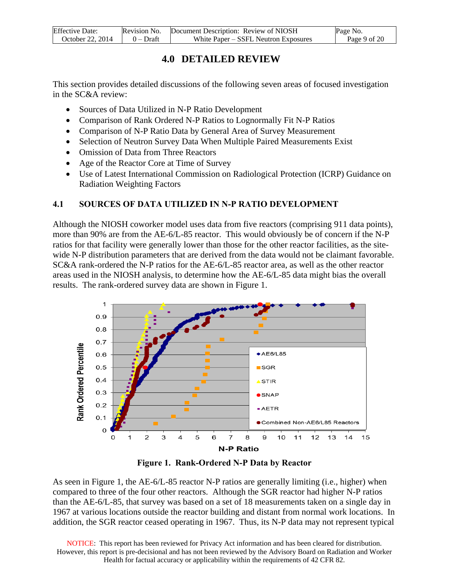<span id="page-8-0"></span>

| <b>Effective Date:</b> |             | Revision No. Document Description: Review of NIOSH | Page No.     |
|------------------------|-------------|----------------------------------------------------|--------------|
| October 22, 2014       | $0$ – Draft | White Paper – SSFL Neutron Exposures               | Page 9 of 20 |

### **4.0 DETAILED REVIEW**

This section provides detailed discussions of the following seven areas of focused investigation in the SC&A review:

- Sources of Data Utilized in N-P Ratio Development
- Comparison of Rank Ordered N-P Ratios to Lognormally Fit N-P Ratios
- Comparison of N-P Ratio Data by General Area of Survey Measurement
- Selection of Neutron Survey Data When Multiple Paired Measurements Exist
- Omission of Data from Three Reactors
- Age of the Reactor Core at Time of Survey
- Use of Latest International Commission on Radiological Protection (ICRP) Guidance on Radiation Weighting Factors

#### <span id="page-8-1"></span>**4.1 SOURCES OF DATA UTILIZED IN N-P RATIO DEVELOPMENT**

Although the NIOSH coworker model uses data from five reactors (comprising 911 data points), more than 90% are from the AE-6/L-85 reactor. This would obviously be of concern if the N-P ratios for that facility were generally lower than those for the other reactor facilities, as the sitewide N-P distribution parameters that are derived from the data would not be claimant favorable. SC&A rank-ordered the N-P ratios for the AE-6/L-85 reactor area, as well as the other reactor areas used in the NIOSH analysis, to determine how the AE-6/L-85 data might bias the overall results. The rank-ordered survey data are shown in Figure 1.



**Figure 1. Rank-Ordered N-P Data by Reactor** 

<span id="page-8-2"></span>As seen in Figure 1, the AE-6/L-85 reactor N-P ratios are generally limiting (i.e., higher) when compared to three of the four other reactors. Although the SGR reactor had higher N-P ratios than the AE-6/L-85, that survey was based on a set of 18 measurements taken on a single day in 1967 at various locations outside the reactor building and distant from normal work locations. In addition, the SGR reactor ceased operating in 1967. Thus, its N-P data may not represent typical

NOTICE: This report has been reviewed for Privacy Act information and has been cleared for distribution. However, this report is pre-decisional and has not been reviewed by the Advisory Board on Radiation and Worker Health for factual accuracy or applicability within the requirements of 42 CFR 82.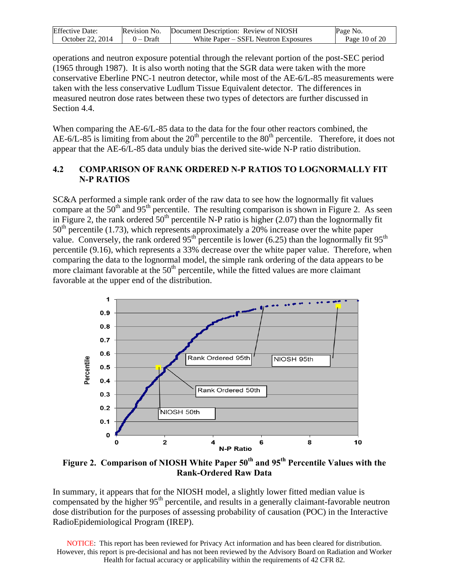| <b>Effective Date:</b> | Revision No. | Document Description: Review of NIOSH | Page No.        |
|------------------------|--------------|---------------------------------------|-----------------|
| October 22. 2014       | $0$ – Draft  | White Paper – SSFL Neutron Exposures  | Page 10 of $20$ |

operations and neutron exposure potential through the relevant portion of the post-SEC period (1965 through 1987). It is also worth noting that the SGR data were taken with the more conservative Eberline PNC-1 neutron detector, while most of the AE-6/L-85 measurements were taken with the less conservative Ludlum Tissue Equivalent detector. The differences in measured neutron dose rates between these two types of detectors are further discussed in Section 4.4.

When comparing the AE-6/L-85 data to the data for the four other reactors combined, the AE-6/L-85 is limiting from about the  $20<sup>th</sup>$  percentile to the  $80<sup>th</sup>$  percentile. Therefore, it does not appear that the AE-6/L-85 data unduly bias the derived site-wide N-P ratio distribution.

#### <span id="page-9-0"></span>**4.2 COMPARISON OF RANK ORDERED N-P RATIOS TO LOGNORMALLY FIT N-P RATIOS**

SC&A performed a simple rank order of the raw data to see how the lognormally fit values compare at the 50<sup>th</sup> and 95<sup>th</sup> percentile. The resulting comparison is shown in Figure 2. As seen in Figure 2, the rank ordered  $50<sup>th</sup>$  percentile N-P ratio is higher (2.07) than the lognormally fit  $50<sup>th</sup>$  percentile (1.73), which represents approximately a 20% increase over the white paper value. Conversely, the rank ordered  $95<sup>th</sup>$  percentile is lower (6.25) than the lognormally fit  $95<sup>th</sup>$ percentile (9.16), which represents a 33% decrease over the white paper value. Therefore, when comparing the data to the lognormal model, the simple rank ordering of the data appears to be more claimant favorable at the  $50<sup>th</sup>$  percentile, while the fitted values are more claimant favorable at the upper end of the distribution.



<span id="page-9-1"></span>**Figure 2. Comparison of NIOSH White Paper 50th and 95th Percentile Values with the Rank-Ordered Raw Data** 

In summary, it appears that for the NIOSH model, a slightly lower fitted median value is compensated by the higher  $95<sup>th</sup>$  percentile, and results in a generally claimant-favorable neutron dose distribution for the purposes of assessing probability of causation (POC) in the Interactive RadioEpidemiological Program (IREP).

NOTICE: This report has been reviewed for Privacy Act information and has been cleared for distribution. However, this report is pre-decisional and has not been reviewed by the Advisory Board on Radiation and Worker Health for factual accuracy or applicability within the requirements of 42 CFR 82.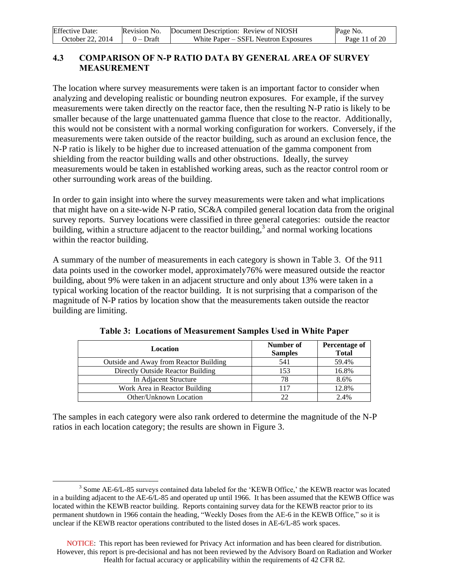| <b>Effective Date:</b> | Revision No. | Document Description: Review of NIOSH | Page No.        |
|------------------------|--------------|---------------------------------------|-----------------|
| October 22. 2014       | $0$ – Draft  | White Paper – SSFL Neutron Exposures  | Page 11 of $20$ |

#### <span id="page-10-0"></span>**4.3 COMPARISON OF N-P RATIO DATA BY GENERAL AREA OF SURVEY MEASUREMENT**

The location where survey measurements were taken is an important factor to consider when analyzing and developing realistic or bounding neutron exposures. For example, if the survey measurements were taken directly on the reactor face, then the resulting N-P ratio is likely to be smaller because of the large unattenuated gamma fluence that close to the reactor. Additionally, this would not be consistent with a normal working configuration for workers. Conversely, if the measurements were taken outside of the reactor building, such as around an exclusion fence, the N-P ratio is likely to be higher due to increased attenuation of the gamma component from shielding from the reactor building walls and other obstructions. Ideally, the survey measurements would be taken in established working areas, such as the reactor control room or other surrounding work areas of the building.

In order to gain insight into where the survey measurements were taken and what implications that might have on a site-wide N-P ratio, SC&A compiled general location data from the original survey reports. Survey locations were classified in three general categories: outside the reactor building, within a structure adjacent to the reactor building, $3$  and normal working locations within the reactor building.

A summary of the number of measurements in each category is shown in Table 3. Of the 911 data points used in the coworker model, approximately76% were measured outside the reactor building, about 9% were taken in an adjacent structure and only about 13% were taken in a typical working location of the reactor building. It is not surprising that a comparison of the magnitude of N-P ratios by location show that the measurements taken outside the reactor building are limiting.

| Location                               | Number of<br><b>Samples</b> | <b>Percentage of</b><br><b>Total</b> |
|----------------------------------------|-----------------------------|--------------------------------------|
| Outside and Away from Reactor Building | 541                         | 59.4%                                |
| Directly Outside Reactor Building      | 153                         | 16.8%                                |
| In Adjacent Structure                  | 78                          | 8.6%                                 |
| Work Area in Reactor Building          | 117                         | 12.8%                                |
| Other/Unknown Location                 | つつ                          | 2.4%                                 |

|  |  |  |  |  | Table 3: Locations of Measurement Samples Used in White Paper |
|--|--|--|--|--|---------------------------------------------------------------|
|--|--|--|--|--|---------------------------------------------------------------|

The samples in each category were also rank ordered to determine the magnitude of the N-P ratios in each location category; the results are shown in Figure 3.

 $\overline{a}$ 

<sup>&</sup>lt;sup>3</sup> Some AE-6/L-85 surveys contained data labeled for the 'KEWB Office,' the KEWB reactor was located in a building adjacent to the AE-6/L-85 and operated up until 1966. It has been assumed that the KEWB Office was located within the KEWB reactor building. Reports containing survey data for the KEWB reactor prior to its permanent shutdown in 1966 contain the heading, "Weekly Doses from the AE-6 in the KEWB Office," so it is unclear if the KEWB reactor operations contributed to the listed doses in AE-6/L-85 work spaces.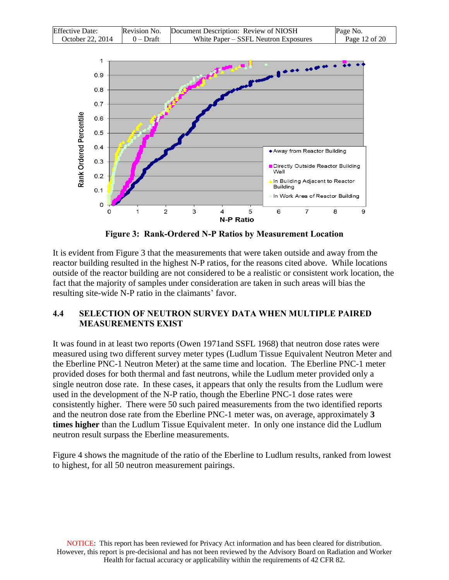| <b>Effective Date:</b> | Revision No. | Document Description: Review of NIOSH | Page No.      |
|------------------------|--------------|---------------------------------------|---------------|
| October 22, 2014       | $0$ – Draft  | White Paper – SSFL Neutron Exposures  | Page 12 of 20 |



**Figure 3: Rank-Ordered N-P Ratios by Measurement Location** 

<span id="page-11-1"></span>It is evident from Figure 3 that the measurements that were taken outside and away from the reactor building resulted in the highest N-P ratios, for the reasons cited above. While locations outside of the reactor building are not considered to be a realistic or consistent work location, the fact that the majority of samples under consideration are taken in such areas will bias the resulting site-wide N-P ratio in the claimants' favor.

#### <span id="page-11-0"></span>**4.4 SELECTION OF NEUTRON SURVEY DATA WHEN MULTIPLE PAIRED MEASUREMENTS EXIST**

It was found in at least two reports (Owen 1971and SSFL 1968) that neutron dose rates were measured using two different survey meter types (Ludlum Tissue Equivalent Neutron Meter and the Eberline PNC-1 Neutron Meter) at the same time and location. The Eberline PNC-1 meter provided doses for both thermal and fast neutrons, while the Ludlum meter provided only a single neutron dose rate. In these cases, it appears that only the results from the Ludlum were used in the development of the N-P ratio, though the Eberline PNC-1 dose rates were consistently higher. There were 50 such paired measurements from the two identified reports and the neutron dose rate from the Eberline PNC-1 meter was, on average, approximately **3 times higher** than the Ludlum Tissue Equivalent meter. In only one instance did the Ludlum neutron result surpass the Eberline measurements.

Figure 4 shows the magnitude of the ratio of the Eberline to Ludlum results, ranked from lowest to highest, for all 50 neutron measurement pairings.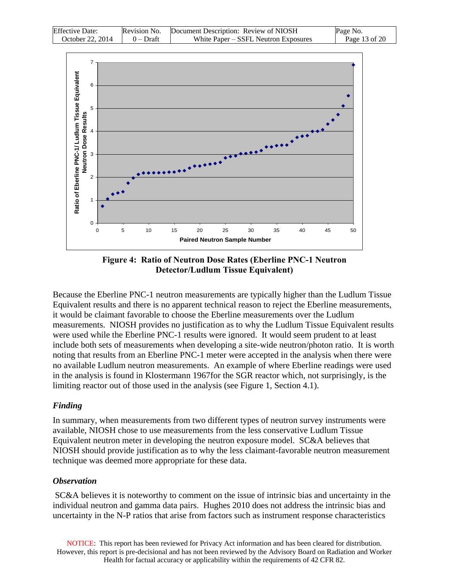| <b>Effective Date:</b> | Revision No. | Document Description: Review of NIOSH | Page No.      |
|------------------------|--------------|---------------------------------------|---------------|
| October 22, 2014       | 0 – Draft    | White Paper – SSFL Neutron Exposures  | Page 13 of 20 |



**Figure 4: Ratio of Neutron Dose Rates (Eberline PNC-1 Neutron Detector/Ludlum Tissue Equivalent)** 

<span id="page-12-0"></span>Because the Eberline PNC-1 neutron measurements are typically higher than the Ludlum Tissue Equivalent results and there is no apparent technical reason to reject the Eberline measurements, it would be claimant favorable to choose the Eberline measurements over the Ludlum measurements. NIOSH provides no justification as to why the Ludlum Tissue Equivalent results were used while the Eberline PNC-1 results were ignored. It would seem prudent to at least include both sets of measurements when developing a site-wide neutron/photon ratio. It is worth noting that results from an Eberline PNC-1 meter were accepted in the analysis when there were no available Ludlum neutron measurements. An example of where Eberline readings were used in the analysis is found in Klostermann 1967for the SGR reactor which, not surprisingly, is the limiting reactor out of those used in the analysis (see Figure 1, Section 4.1).

#### *Finding*

In summary, when measurements from two different types of neutron survey instruments were available, NIOSH chose to use measurements from the less conservative Ludlum Tissue Equivalent neutron meter in developing the neutron exposure model. SC&A believes that NIOSH should provide justification as to why the less claimant-favorable neutron measurement technique was deemed more appropriate for these data.

#### *Observation*

SC&A believes it is noteworthy to comment on the issue of intrinsic bias and uncertainty in the individual neutron and gamma data pairs. Hughes 2010 does not address the intrinsic bias and uncertainty in the N-P ratios that arise from factors such as instrument response characteristics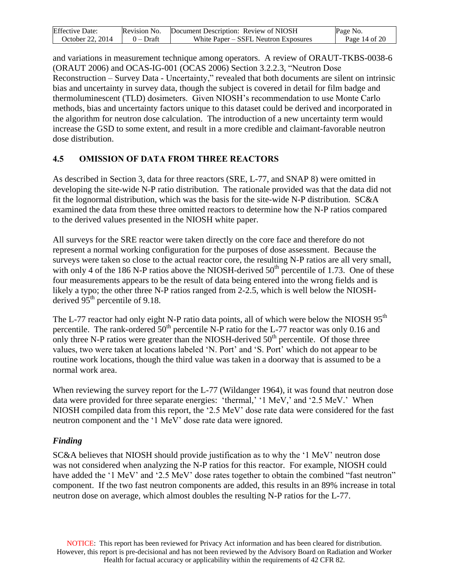| <b>Effective Date:</b> | Revision No. | Document Description: Review of NIOSH | Page No.          |
|------------------------|--------------|---------------------------------------|-------------------|
| October 22. 2014       | $0$ – Draft  | White Paper – SSFL Neutron Exposures  | Page $14$ of $20$ |

and variations in measurement technique among operators. A review of ORAUT-TKBS-0038-6 (ORAUT 2006) and OCAS-IG-001 (OCAS 2006) Section 3.2.2.3, "Neutron Dose Reconstruction – Survey Data - Uncertainty," revealed that both documents are silent on intrinsic bias and uncertainty in survey data, though the subject is covered in detail for film badge and thermoluminescent (TLD) dosimeters. Given NIOSH's recommendation to use Monte Carlo methods, bias and uncertainty factors unique to this dataset could be derived and incorporated in the algorithm for neutron dose calculation. The introduction of a new uncertainty term would increase the GSD to some extent, and result in a more credible and claimant-favorable neutron dose distribution.

### <span id="page-13-0"></span>**4.5 OMISSION OF DATA FROM THREE REACTORS**

As described in Section 3, data for three reactors (SRE, L-77, and SNAP 8) were omitted in developing the site-wide N-P ratio distribution. The rationale provided was that the data did not fit the lognormal distribution, which was the basis for the site-wide N-P distribution. SC&A examined the data from these three omitted reactors to determine how the N-P ratios compared to the derived values presented in the NIOSH white paper.

All surveys for the SRE reactor were taken directly on the core face and therefore do not represent a normal working configuration for the purposes of dose assessment. Because the surveys were taken so close to the actual reactor core, the resulting N-P ratios are all very small, with only 4 of the 186 N-P ratios above the NIOSH-derived  $50<sup>th</sup>$  percentile of 1.73. One of these four measurements appears to be the result of data being entered into the wrong fields and is likely a typo; the other three N-P ratios ranged from 2-2.5, which is well below the NIOSHderived  $95<sup>th</sup>$  percentile of 9.18.

The L-77 reactor had only eight N-P ratio data points, all of which were below the NIOSH 95<sup>th</sup> percentile. The rank-ordered  $50<sup>th</sup>$  percentile N-P ratio for the L-77 reactor was only 0.16 and only three N-P ratios were greater than the NIOSH-derived  $50<sup>th</sup>$  percentile. Of those three values, two were taken at locations labeled 'N. Port' and 'S. Port' which do not appear to be routine work locations, though the third value was taken in a doorway that is assumed to be a normal work area.

When reviewing the survey report for the L-77 (Wildanger 1964), it was found that neutron dose data were provided for three separate energies: 'thermal,' '1 MeV,' and '2.5 MeV.' When NIOSH compiled data from this report, the '2.5 MeV' dose rate data were considered for the fast neutron component and the '1 MeV' dose rate data were ignored.

#### *Finding*

SC&A believes that NIOSH should provide justification as to why the '1 MeV' neutron dose was not considered when analyzing the N-P ratios for this reactor. For example, NIOSH could have added the '1 MeV' and '2.5 MeV' dose rates together to obtain the combined "fast neutron" component. If the two fast neutron components are added, this results in an 89% increase in total neutron dose on average, which almost doubles the resulting N-P ratios for the L-77.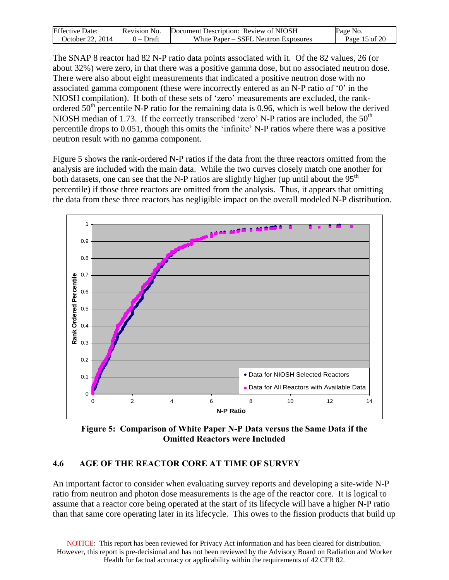| <b>Effective Date:</b> | Revision No. | Document Description: Review of NIOSH | Page No.      |
|------------------------|--------------|---------------------------------------|---------------|
| October 22. 2014       | $0$ – Draft  | White Paper – SSFL Neutron Exposures  | Page 15 of 20 |

The SNAP 8 reactor had 82 N-P ratio data points associated with it. Of the 82 values, 26 (or about 32%) were zero, in that there was a positive gamma dose, but no associated neutron dose. There were also about eight measurements that indicated a positive neutron dose with no associated gamma component (these were incorrectly entered as an N-P ratio of '0' in the NIOSH compilation). If both of these sets of 'zero' measurements are excluded, the rankordered  $50<sup>th</sup>$  percentile N-P ratio for the remaining data is 0.96, which is well below the derived NIOSH median of 1.73. If the correctly transcribed 'zero' N-P ratios are included, the 50<sup>th</sup> percentile drops to 0.051, though this omits the 'infinite' N-P ratios where there was a positive neutron result with no gamma component.

Figure 5 shows the rank-ordered N-P ratios if the data from the three reactors omitted from the analysis are included with the main data. While the two curves closely match one another for both datasets, one can see that the N-P ratios are slightly higher (up until about the  $95<sup>th</sup>$ percentile) if those three reactors are omitted from the analysis. Thus, it appears that omitting the data from these three reactors has negligible impact on the overall modeled N-P distribution.



<span id="page-14-1"></span>**Figure 5: Comparison of White Paper N-P Data versus the Same Data if the Omitted Reactors were Included** 

#### <span id="page-14-0"></span>**4.6 AGE OF THE REACTOR CORE AT TIME OF SURVEY**

An important factor to consider when evaluating survey reports and developing a site-wide N-P ratio from neutron and photon dose measurements is the age of the reactor core. It is logical to assume that a reactor core being operated at the start of its lifecycle will have a higher N-P ratio than that same core operating later in its lifecycle. This owes to the fission products that build up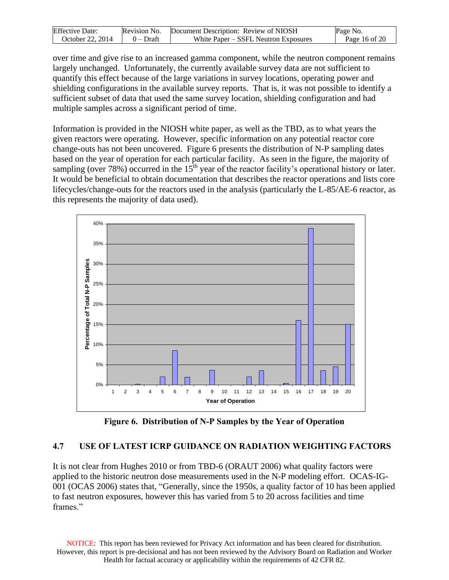| <b>Effective Date:</b> | Revision No. | Document Description: Review of NIOSH | Page No.      |
|------------------------|--------------|---------------------------------------|---------------|
| October 22, 2014       | $0$ – Draft  | White Paper – SSFL Neutron Exposures  | Page 16 of 20 |

over time and give rise to an increased gamma component, while the neutron component remains largely unchanged. Unfortunately, the currently available survey data are not sufficient to quantify this effect because of the large variations in survey locations, operating power and shielding configurations in the available survey reports. That is, it was not possible to identify a sufficient subset of data that used the same survey location, shielding configuration and had multiple samples across a significant period of time.

Information is provided in the NIOSH white paper, as well as the TBD, as to what years the given reactors were operating. However, specific information on any potential reactor core change-outs has not been uncovered. Figure 6 presents the distribution of N-P sampling dates based on the year of operation for each particular facility. As seen in the figure, the majority of sampling (over 78%) occurred in the  $15<sup>th</sup>$  year of the reactor facility's operational history or later. It would be beneficial to obtain documentation that describes the reactor operations and lists core lifecycles/change-outs for the reactors used in the analysis (particularly the L-85/AE-6 reactor, as this represents the majority of data used).



**Figure 6. Distribution of N-P Samples by the Year of Operation** 

#### <span id="page-15-1"></span><span id="page-15-0"></span>**4.7 USE OF LATEST ICRP GUIDANCE ON RADIATION WEIGHTING FACTORS**

It is not clear from Hughes 2010 or from TBD-6 (ORAUT 2006) what quality factors were applied to the historic neutron dose measurements used in the N-P modeling effort. OCAS-IG-001 (OCAS 2006) states that, "Generally, since the 1950s, a quality factor of 10 has been applied to fast neutron exposures, however this has varied from 5 to 20 across facilities and time frames"

NOTICE: This report has been reviewed for Privacy Act information and has been cleared for distribution. However, this report is pre-decisional and has not been reviewed by the Advisory Board on Radiation and Worker Health for factual accuracy or applicability within the requirements of 42 CFR 82.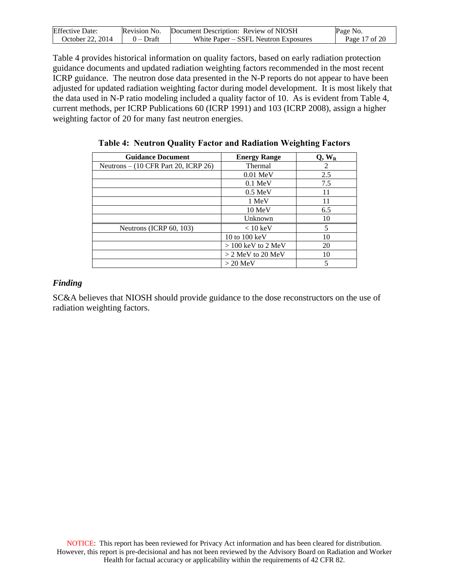| <b>Effective Date:</b> | Revision No. | Document Description: Review of NIOSH | Page No.      |
|------------------------|--------------|---------------------------------------|---------------|
| October 22. 2014       | $0$ – Draft  | White Paper – SSFL Neutron Exposures  | Page 17 of 20 |

Table 4 provides historical information on quality factors, based on early radiation protection guidance documents and updated radiation weighting factors recommended in the most recent ICRP guidance. The neutron dose data presented in the N-P reports do not appear to have been adjusted for updated radiation weighting factor during model development. It is most likely that the data used in N-P ratio modeling included a quality factor of 10. As is evident from Table 4, current methods, per ICRP Publications 60 (ICRP 1991) and 103 (ICRP 2008), assign a higher weighting factor of 20 for many fast neutron energies.

| <b>Guidance Document</b>             | <b>Energy Range</b>  | $Q, W_R$ |
|--------------------------------------|----------------------|----------|
| Neutrons – (10 CFR Part 20, ICRP 26) | Thermal              | 2        |
|                                      | $0.01$ MeV           | 2.5      |
|                                      | $0.1 \text{ MeV}$    | 7.5      |
|                                      | $0.5 \text{ MeV}$    | 11       |
|                                      | 1 MeV                | 11       |
|                                      | $10 \text{ MeV}$     | 6.5      |
|                                      | Unknown              | 10       |
| Neutrons (ICRP 60, 103)              | $< 10 \text{ keV}$   | 5        |
|                                      | 10 to 100 keV        | 10       |
|                                      | $> 100$ keV to 2 MeV | 20       |
|                                      | $>$ 2 MeV to 20 MeV  | 10       |
|                                      | $>$ 20 MeV           | 5        |

**Table 4: Neutron Quality Factor and Radiation Weighting Factors**

#### *Finding*

SC&A believes that NIOSH should provide guidance to the dose reconstructors on the use of radiation weighting factors.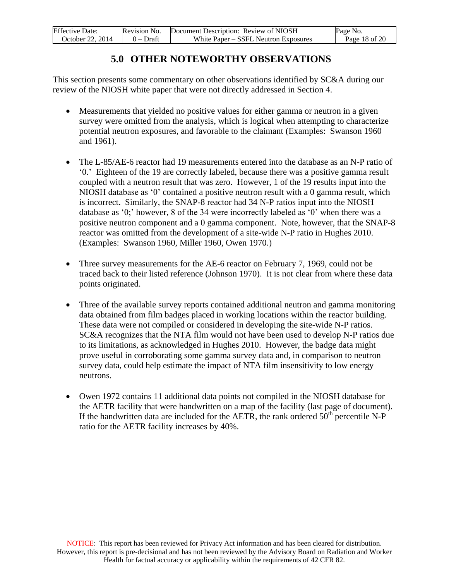| <b>Effective Date:</b> | Revision No. | Document Description: Review of NIOSH | Page No.      |
|------------------------|--------------|---------------------------------------|---------------|
| October 22, 2014       | $0$ – Draft  | White Paper – SSFL Neutron Exposures  | Page 18 of 20 |

### **5.0 OTHER NOTEWORTHY OBSERVATIONS**

<span id="page-17-0"></span>This section presents some commentary on other observations identified by SC&A during our review of the NIOSH white paper that were not directly addressed in Section 4.

- Measurements that yielded no positive values for either gamma or neutron in a given survey were omitted from the analysis, which is logical when attempting to characterize potential neutron exposures, and favorable to the claimant (Examples: Swanson 1960 and 1961).
- The L-85/AE-6 reactor had 19 measurements entered into the database as an N-P ratio of '0.' Eighteen of the 19 are correctly labeled, because there was a positive gamma result coupled with a neutron result that was zero. However, 1 of the 19 results input into the NIOSH database as '0' contained a positive neutron result with a 0 gamma result, which is incorrect. Similarly, the SNAP-8 reactor had 34 N-P ratios input into the NIOSH database as '0;' however, 8 of the 34 were incorrectly labeled as '0' when there was a positive neutron component and a 0 gamma component. Note, however, that the SNAP-8 reactor was omitted from the development of a site-wide N-P ratio in Hughes 2010. (Examples: Swanson 1960, Miller 1960, Owen 1970.)
- Three survey measurements for the AE-6 reactor on February 7, 1969, could not be traced back to their listed reference (Johnson 1970). It is not clear from where these data points originated.
- Three of the available survey reports contained additional neutron and gamma monitoring data obtained from film badges placed in working locations within the reactor building. These data were not compiled or considered in developing the site-wide N-P ratios. SC&A recognizes that the NTA film would not have been used to develop N-P ratios due to its limitations, as acknowledged in Hughes 2010. However, the badge data might prove useful in corroborating some gamma survey data and, in comparison to neutron survey data, could help estimate the impact of NTA film insensitivity to low energy neutrons.
- Owen 1972 contains 11 additional data points not compiled in the NIOSH database for the AETR facility that were handwritten on a map of the facility (last page of document). If the handwritten data are included for the AETR, the rank ordered  $50<sup>th</sup>$  percentile N-P ratio for the AETR facility increases by 40%.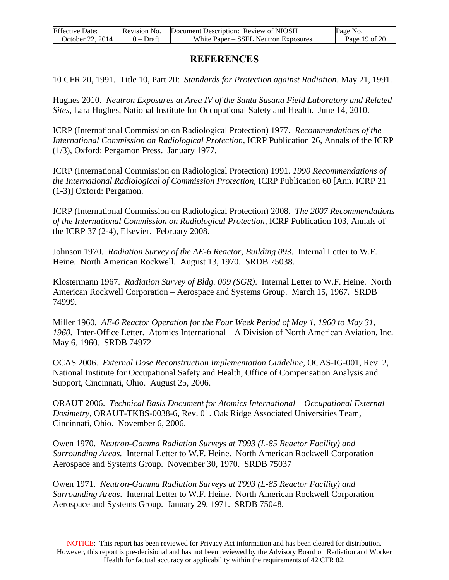| <b>Effective Date:</b> | Revision No. | Document Description: Review of NIOSH | Page No.      |
|------------------------|--------------|---------------------------------------|---------------|
| October 22, 2014       | $0$ – Draft  | White Paper – SSFL Neutron Exposures  | Page 19 of 20 |

### **REFERENCES**

<span id="page-18-0"></span>10 CFR 20, 1991. Title 10, Part 20: *Standards for Protection against Radiation*. May 21, 1991.

Hughes 2010. *Neutron Exposures at Area IV of the Santa Susana Field Laboratory and Related Sites,* Lara Hughes, National Institute for Occupational Safety and Health. June 14, 2010.

ICRP (International Commission on Radiological Protection) 1977. *Recommendations of the International Commission on Radiological Protection,* ICRP Publication 26, Annals of the ICRP (1/3), Oxford: Pergamon Press. January 1977.

ICRP (International Commission on Radiological Protection) 1991. *1990 Recommendations of the International Radiological of Commission Protection,* ICRP Publication 60 [Ann. ICRP 21 (1-3)] Oxford: Pergamon.

ICRP (International Commission on Radiological Protection) 2008. *The 2007 Recommendations of the International Commission on Radiological Protection*, ICRP Publication 103, Annals of the ICRP 37 (2-4), Elsevier. February 2008.

Johnson 1970. *Radiation Survey of the AE-6 Reactor, Building 093*. Internal Letter to W.F. Heine. North American Rockwell. August 13, 1970. SRDB 75038.

Klostermann 1967. *Radiation Survey of Bldg. 009 (SGR)*. Internal Letter to W.F. Heine. North American Rockwell Corporation – Aerospace and Systems Group. March 15, 1967. SRDB 74999.

Miller 1960. *AE-6 Reactor Operation for the Four Week Period of May 1, 1960 to May 31, 1960.* Inter-Office Letter. Atomics International – A Division of North American Aviation, Inc. May 6, 1960. SRDB 74972

OCAS 2006. *External Dose Reconstruction Implementation Guideline,* OCAS-IG-001, Rev. 2, National Institute for Occupational Safety and Health, Office of Compensation Analysis and Support, Cincinnati, Ohio. August 25, 2006.

ORAUT 2006. *Technical Basis Document for Atomics International – Occupational External Dosimetry*, ORAUT-TKBS-0038-6, Rev. 01. Oak Ridge Associated Universities Team, Cincinnati, Ohio. November 6, 2006.

Owen 1970. *Neutron-Gamma Radiation Surveys at T093 (L-85 Reactor Facility) and Surrounding Areas.* Internal Letter to W.F. Heine. North American Rockwell Corporation – Aerospace and Systems Group. November 30, 1970. SRDB 75037

Owen 1971. *Neutron-Gamma Radiation Surveys at T093 (L-85 Reactor Facility) and Surrounding Areas*. Internal Letter to W.F. Heine. North American Rockwell Corporation – Aerospace and Systems Group. January 29, 1971. SRDB 75048.